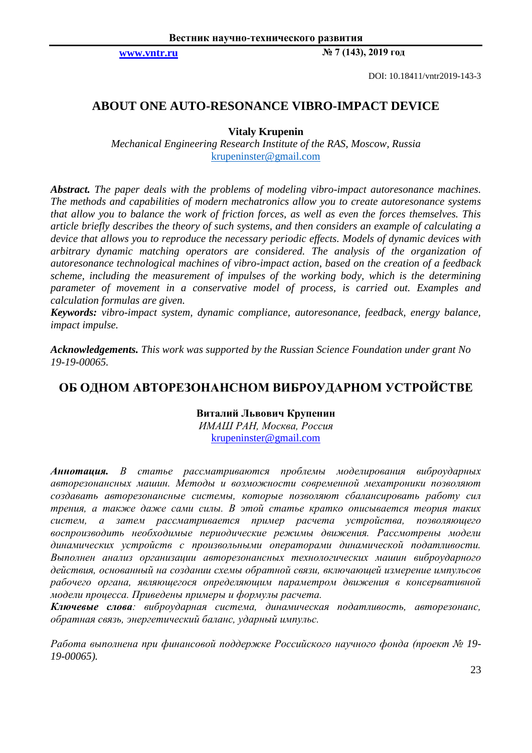**[www.vntr.ru](http://www.vntr.ru/) № 7 (143), 2019 год**

DOI: 10.18411/vntr2019-143-3

# **ABOUT ONE AUTO-RESONANCE VIBRO-IMPACT DEVICE**

# **Vitaly Krupenin**

*Mechanical Engineering Research Institute of the RAS, Moscow, Russia* [krupeninster@gmail.com](mailto:krupeninster@gmail.com)

*Abstract. The paper deals with the problems of modeling vibro-impact autoresonance machines. The methods and capabilities of modern mechatronics allow you to create autoresonance systems that allow you to balance the work of friction forces, as well as even the forces themselves. This article briefly describes the theory of such systems, and then considers an example of calculating a device that allows you to reproduce the necessary periodic effects. Models of dynamic devices with arbitrary dynamic matching operators are considered. The analysis of the organization of autoresonance technological machines of vibro-impact action, based on the creation of a feedback scheme, including the measurement of impulses of the working body, which is the determining parameter of movement in a conservative model of process, is carried out. Examples and calculation formulas are given.*

*Keywords: vibro-impact system, dynamic compliance, autoresonance, feedback, energy balance, impact impulse.*

*Acknowledgements. This work was supported by the Russian Science Foundation under grant No 19-19-00065.*

# **ОБ ОДНОМ АВТОРЕЗОНАНСНОМ ВИБРОУДАРНОМ УСТРОЙСТВЕ**

**Виталий Львович Крупенин**  *ИМАШ РАН, Москва, Россия* krupeninster@gmail.com

*Аннотация. В статье рассматриваются проблемы моделирования виброударных авторезонансных машин. Методы и возможности современной мехатроники позволяют создавать авторезонансные системы, которые позволяют сбалансировать работу сил трения, а также даже сами силы. В этой статье кратко описывается теория таких систем, а затем рассматривается пример расчета устройства, позволяющего воспроизводить необходимые периодические режимы движения. Рассмотрены модели динамических устройств с произвольными операторами динамической податливости. Выполнен анализ организации авторезонансных технологических машин виброударного действия, основанный на создании схемы обратной связи, включающей измерение импульсов рабочего органа, являющегося определяющим параметром движения в консервативной модели процесса. Приведены примеры и формулы расчета.*

*Ключевые слова: виброударная система, динамическая податливость, авторезонанс, обратная связь, энергетический баланс, ударный импульс.*

*Работа выполнена при финансовой поддержке Российского научного фонда (проект № 19- 19-00065).*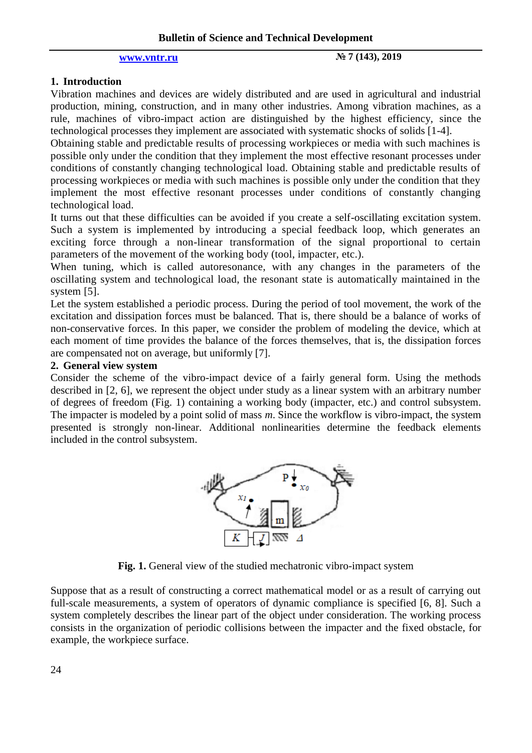# **[www.vntr.ru](http://www.vntr.ru/) № 7 (143), 2019**

# **1. Introduction**

Vibration machines and devices are widely distributed and are used in agricultural and industrial production, mining, construction, and in many other industries. Among vibration machines, as a rule, machines of vibro-impact action are distinguished by the highest efficiency, since the technological processes they implement are associated with systematic shocks of solids [1-4].

Obtaining stable and predictable results of processing workpieces or media with such machines is possible only under the condition that they implement the most effective resonant processes under conditions of constantly changing technological load. Obtaining stable and predictable results of processing workpieces or media with such machines is possible only under the condition that they implement the most effective resonant processes under conditions of constantly changing technological load.

It turns out that these difficulties can be avoided if you create a self-oscillating excitation system. Such a system is implemented by introducing a special feedback loop, which generates an exciting force through a non-linear transformation of the signal proportional to certain parameters of the movement of the working body (tool, impacter, etc.).

When tuning, which is called autoresonance, with any changes in the parameters of the oscillating system and technological load, the resonant state is automatically maintained in the system [5].

Let the system established a periodic process. During the period of tool movement, the work of the excitation and dissipation forces must be balanced. That is, there should be a balance of works of non-conservative forces. In this paper, we consider the problem of modeling the device, which at each moment of time provides the balance of the forces themselves, that is, the dissipation forces are compensated not on average, but uniformly [7].

# **2. General view system**

Consider the scheme of the vibro-impact device of a fairly general form. Using the methods described in [2, 6], we represent the object under study as a linear system with an arbitrary number of degrees of freedom (Fig. 1) containing a working body (impacter, etc.) and control subsystem. The impacter is modeled by a point solid of mass *m*. Since the workflow is vibro-impact, the system presented is strongly non-linear. Additional nonlinearities determine the feedback elements included in the control subsystem.



**Fig. 1.** General view of the studied mechatronic vibro-impact system

Suppose that as a result of constructing a correct mathematical model or as a result of carrying out full-scale measurements, a system of operators of dynamic compliance is specified [6, 8]. Such a system completely describes the linear part of the object under consideration. The working process consists in the organization of periodic collisions between the impacter and the fixed obstacle, for example, the workpiece surface.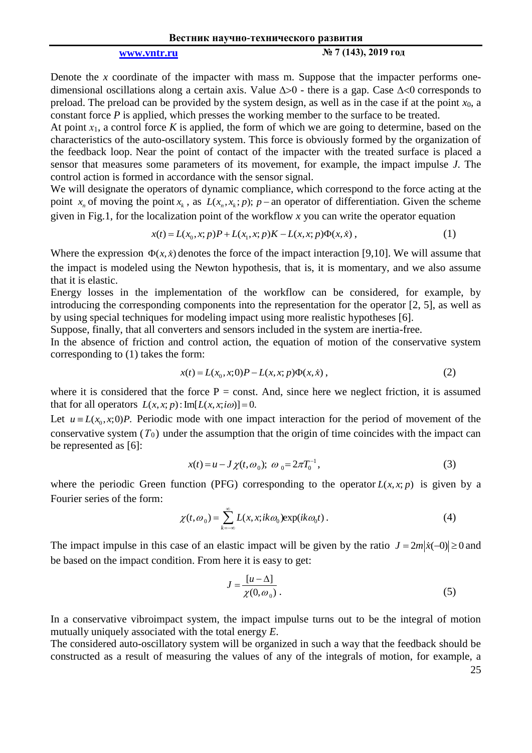**[www.vntr.ru](http://www.vntr.ru/) № 7 (143), 2019 год**

Denote the *x* coordinate of the impacter with mass m. Suppose that the impacter performs onedimensional oscillations along a certain axis. Value  $\Delta > 0$  - there is a gap. Case  $\Delta < 0$  corresponds to preload. The preload can be provided by the system design, as well as in the case if at the point  $x_0$ , a constant force *P* is applied, which presses the working member to the surface to be treated.

At point  $x_1$ , a control force K is applied, the form of which we are going to determine, based on the characteristics of the auto-oscillatory system. This force is obviously formed by the organization of the feedback loop. Near the point of contact of the impacter with the treated surface is placed a sensor that measures some parameters of its movement, for example, the impact impulse *J*. The control action is formed in accordance with the sensor signal.

We will designate the operators of dynamic compliance, which correspond to the force acting at the point  $x_n$  of moving the point  $x_k$ , as  $L(x_n, x_k; p)$ ;  $p$  – an operator of differentiation. Given the scheme given in Fig.1, for the localization point of the workflow *x* you can write the operator equation  $x(t) = L(x_0, x; p)P + L(x_1, x; p)K - L(x, x; p)\Phi(x, \dot{x})$ , (1)

$$
x(t) = L(x_0, x; p)P + L(x_1, x; p)K - L(x, x; p)\Phi(x, \dot{x}),
$$
\n(1)

Where the expression  $\Phi(x, \dot{x})$  denotes the force of the impact interaction [9,10]. We will assume that the impact is modeled using the Newton hypothesis, that is, it is momentary, and we also assume that it is elastic.

Energy losses in the implementation of the workflow can be considered, for example, by introducing the corresponding components into the representation for the operator [2, 5], as well as by using special techniques for modeling impact using more realistic hypotheses [6].

Suppose, finally, that all converters and sensors included in the system are inertia-free.

In the absence of friction and control action, the equation of motion of the conservative system corresponding to (1) takes the form:

$$
x(t) = L(x_0, x; 0)P - L(x, x; p)\Phi(x, \dot{x}),
$$
\n(2)

where it is considered that the force  $P =$  const. And, since here we neglect friction, it is assumed where it is considered that the force  $\Gamma = \text{const}$ <br>that for all operators  $L(x, x; p)$ : Im[ $L(x, x; i\omega)$ ] = 0.

Let  $u = L(x_0, x; 0)P$ . Periodic mode with one impact interaction for the period of movement of the conservative system  $(T_0)$  under the assumption that the origin of time coincides with the impact can be represented as [6]:

$$
x(t) = u - J \chi(t, \omega_0); \omega_0 = 2\pi T_0^{-1},
$$
\n(3)

where the periodic Green function (PFG) corresponding to the operator  $L(x, x; p)$  is given by a Fourier series of the form:

$$
\chi(t, \omega_0) = \sum_{k=-\infty}^{\infty} L(x, x; ik\omega_0) \exp(ik\omega_0 t).
$$
 (4)

The impact impulse in this case of an elastic impact will be given by the ratio  $J = 2m|\dot{x}(-0)| \ge 0$  and be based on the impact condition. From here it is easy to get:

$$
J = \frac{[u - \Delta]}{\chi(0, \omega_0)}.
$$
 (5)

In a conservative vibroimpact system, the impact impulse turns out to be the integral of motion mutually uniquely associated with the total energy *E*.

The considered auto-oscillatory system will be organized in such a way that the feedback should be constructed as a result of measuring the values of any of the integrals of motion, for example, a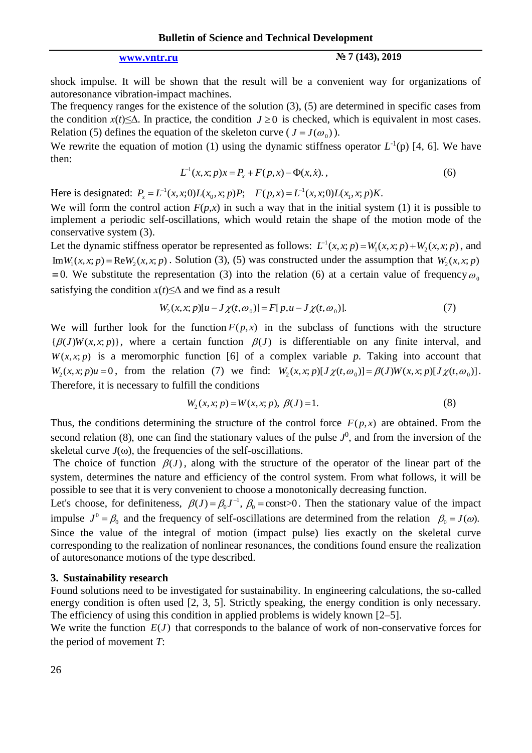**[www.vntr.ru](http://www.vntr.ru/) № 7 (143), 2019**

shock impulse. It will be shown that the result will be a convenient way for organizations of autoresonance vibration-impact machines.

The frequency ranges for the existence of the solution (3), (5) are determined in specific cases from the condition  $x(t) \leq \Delta$ . In practice, the condition  $J \geq 0$  is checked, which is equivalent in most cases. Relation (5) defines the equation of the skeleton curve ( $J = J(\omega_0)$ ).

We rewrite the equation of motion (1) using the dynamic stiffness operator  $L^{-1}(p)$  [4, 6]. We have then:

$$
L^{-1}(x, x; p)x = P_x + F(p, x) - \Phi(x, \dot{x}).
$$
\n(6)

Here is designated:  $P_x = L^{-1}(x, x; 0) L(x_0, x; p) P;$   $F(p, x) = L^{-1}$  $F(p, x) = L^{-1}(x, x; 0)L(x_1, x; p)K.$ 

We will form the control action  $F(p,x)$  in such a way that in the initial system (1) it is possible to implement a periodic self-oscillations, which would retain the shape of the motion mode of the conservative system (3).

Let the dynamic stiffness operator be represented as follows:  $L^{-1}$  $L^{-1}(x, x; p) = W_1(x, x; p) + W_2(x, x; p)$ , and  $Im W_1(x, x; p) = Re W_2(x, x; p)$ . Solution (3), (5) was constructed under the assumption that  $W_2(x, x; p)$  $\equiv$  0. We substitute the representation (3) into the relation (6) at a certain value of frequency  $\omega$ <sub>c</sub> satisfying the condition  $x(t) \le \Delta$  and we find as a result<br>  $W_2(x, x; p)[u - J\chi(t, \omega_0)] = F[p, u - J\chi(t, \omega_0)].$ 

$$
W_2(x, x; p)[u - J\chi(t, \omega_0)] = F[p, u - J\chi(t, \omega_0)].
$$
\n(7)

We will further look for the function  $F(p, x)$  in the subclass of functions with the structure  $\{\beta(J)W(x, x; p)\}\$ , where a certain function  $\beta(J)$  is differentiable on any finite interval, and  $W(x, x; p)$  is a meromorphic function [6] of a complex variable *p*. Taking into account that  $W(x, x; p)$  is a meromorphic function [6] of a complex variable p. Taking into account that  $W_2(x, x; p)u = 0$ , from the relation (7) we find:  $W_2(x, x; p)[J\chi(t, \omega_0)] = \beta(J)W(x, x; p)[J\chi(t, \omega_0)]$ . Therefore, it is necessary to fulfill the conditions

$$
W_2(x, x; p) = W(x, x; p), \ \beta(J) = 1.
$$
 (8)

Thus, the conditions determining the structure of the control force  $F(p, x)$  are obtained. From the second relation (8), one can find the stationary values of the pulse  $J^0$ , and from the inversion of the skeletal curve  $J(\omega)$ , the frequencies of the self-oscillations.

The choice of function  $\beta(J)$ , along with the structure of the operator of the linear part of the system, determines the nature and efficiency of the control system. From what follows, it will be possible to see that it is very convenient to choose a monotonically decreasing function.

Let's choose, for definiteness,  $\beta(J) = \beta_0 J^{-1}$ ,  $\beta_0 = \text{const} > 0$ . Then the stationary value of the impact impulse  $J^0 = \beta_0$  and the frequency of self-oscillations are determined from the relation  $\beta_0 = J(\omega)$ . Since the value of the integral of motion (impact pulse) lies exactly on the skeletal curve corresponding to the realization of nonlinear resonances, the conditions found ensure the realization of autoresonance motions of the type described.

### **3. Sustainability research**

Found solutions need to be investigated for sustainability. In engineering calculations, the so-called energy condition is often used [2, 3, 5]. Strictly speaking, the energy condition is only necessary. The efficiency of using this condition in applied problems is widely known [2–5].

We write the function  $E(J)$  that corresponds to the balance of work of non-conservative forces for the period of movement *T*: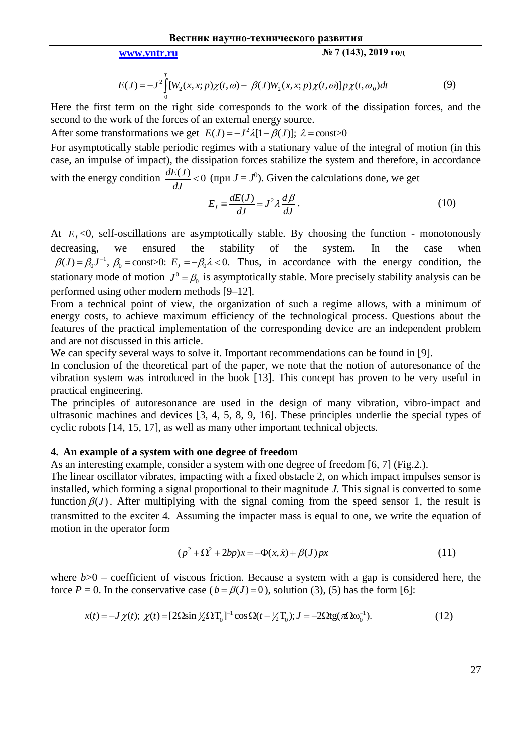### **[www.vntr.ru](http://www.vntr.ru/) № 7 (143), 2019 год**

$$
E(J) = -J^2 \int_0^T [W_2(x, x; p) \chi(t, \omega) - \beta(J) W_2(x, x; p) \chi(t, \omega)] p \chi(t, \omega_0) dt
$$
(9)

Here the first term on the right side corresponds to the work of the dissipation forces, and the second to the work of the forces of an external energy source.

second to the work of the forces of an external energy source.<br>After some transformations we get  $E(J) = -J^2 \lambda [1 - \beta(J)]$ ;  $\lambda = \text{const} > 0$ 

For asymptotically stable periodic regimes with a stationary value of the integral of motion (in this case, an impulse of impact), the dissipation forces stabilize the system and therefore, in accordance with the energy condition  $\frac{dE(J)}{dt} < 0$ *dJ*  $<$  0 (при  $J = J<sup>0</sup>$ ). Given the calculations done, we get

$$
E_J \equiv \frac{dE(J)}{dJ} = J^2 \lambda \frac{d\beta}{dJ}.
$$
\n(10)

At  $E_j < 0$ , self-oscillations are asymptotically stable. By choosing the function - monotonously decreasing, we ensured the stability of the system. In the case when 1 decreasing, we ensured the stability of the system. In the case when  $\beta(J) = \beta_0 J^{-1}$ ,  $\beta_0 = \text{const} > 0$ :  $E_J = -\beta_0 \lambda < 0$ . Thus, in accordance with the energy condition, the stationary mode of motion  $J^0 = \beta_0$  is asymptotically stable. More precisely stability analysis can be performed using other modern methods [9–12].

From a technical point of view, the organization of such a regime allows, with a minimum of energy costs, to achieve maximum efficiency of the technological process. Questions about the features of the practical implementation of the corresponding device are an independent problem and are not discussed in this article.

We can specify several ways to solve it. Important recommendations can be found in [9].

In conclusion of the theoretical part of the paper, we note that the notion of autoresonance of the vibration system was introduced in the book [13]. This concept has proven to be very useful in practical engineering.

The principles of autoresonance are used in the design of many vibration, vibro-impact and ultrasonic machines and devices [3, 4, 5, 8, 9, 16]. These principles underlie the special types of cyclic robots [14, 15, 17], as well as many other important technical objects.

### **4. An example of a system with one degree of freedom**

As an interesting example, consider a system with one degree of freedom [6, 7] (Fig.2.).

The linear oscillator vibrates, impacting with a fixed obstacle 2, on which impact impulses sensor is installed, which forming a signal proportional to their magnitude *J*. This signal is converted to some function  $\beta(J)$ . After multiplying with the signal coming from the speed sensor 1, the result is transmitted to the exciter 4*.* Assuming the impacter mass is equal to one, we write the equation of motion in the operator form

$$
(p^{2} + \Omega^{2} + 2bp)x = -\Phi(x, \dot{x}) + \beta(J)px
$$
\n(11)

where  $b > 0$  – coefficient of viscous friction. Because a system with a gap is considered here, the force *P* = 0. In the conservative case  $(b = \beta(J) = 0)$ , solution (3), (5) has the form [6]:<br>  $x(t) = -J\chi(t); \ \chi(t) = [2\Omega \sin \frac{1}{2}\Omega T_0]^{-1} \cos \Omega(t - \frac{1}{2}T_0); J = -2\Omega t g(\pi \Omega \omega_0^{-1}).$  (12)

$$
x(t) = -J \chi(t); \ \chi(t) = [2\Omega \sin \frac{1}{2} \Omega T_0]^{-1} \cos \Omega(t - \frac{1}{2} T_0); J = -2\Omega t g(\pi \Omega \omega_0^{-1}). \tag{12}
$$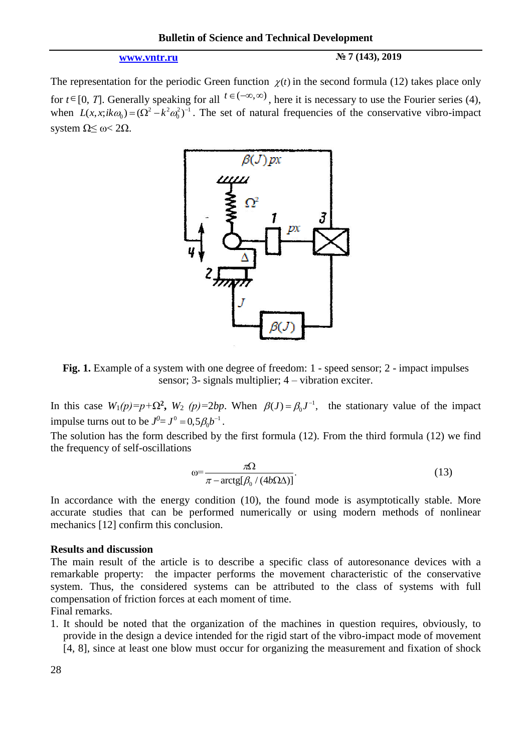### **[www.vntr.ru](http://www.vntr.ru/) № 7 (143), 2019**

The representation for the periodic Green function  $\chi(t)$  in the second formula (12) takes place only for  $t \in [0, T]$ . Generally speaking for all  $t \in (-\infty, \infty)$ , here it is necessary to use the Fourier series (4), when  $L(x, x; i k \omega_0) = (\Omega^2 - k^2 \omega_0^2)^{-1}$ . The set of natural frequencies of the conservative vibro-impact system  $Ω< \omega < 2Ω$ .



Fig. 1. Example of a system with one degree of freedom: 1 - speed sensor; 2 - impact impulses sensor; 3- signals multiplier; 4 – vibration exciter.

In this case  $W_1(p)=p+\Omega^2$ ,  $W_2(p)=2bp$ . When  $\beta(J)=\beta_0J^{-1}$ , the stationary value of the impact impulse turns out to be  $J^0 = J^0 = 0.5 \beta_0 b^{-1}$ .

The solution has the form described by the first formula (12). From the third formula (12) we find the frequency of self-oscillations

$$
\omega = \frac{\pi \Omega}{\pi - \arctg[\beta_0 / (4b\Omega \Delta)]}.
$$
\n(13)

In accordance with the energy condition (10), the found mode is asymptotically stable. More accurate studies that can be performed numerically or using modern methods of nonlinear mechanics [12] confirm this conclusion.

### **Results and discussion**

The main result of the article is to describe a specific class of autoresonance devices with a remarkable property: the impacter performs the movement characteristic of the conservative system. Thus, the considered systems can be attributed to the class of systems with full compensation of friction forces at each moment of time.

Final remarks.

1. It should be noted that the organization of the machines in question requires, obviously, to provide in the design a device intended for the rigid start of the vibro-impact mode of movement [4, 8], since at least one blow must occur for organizing the measurement and fixation of shock